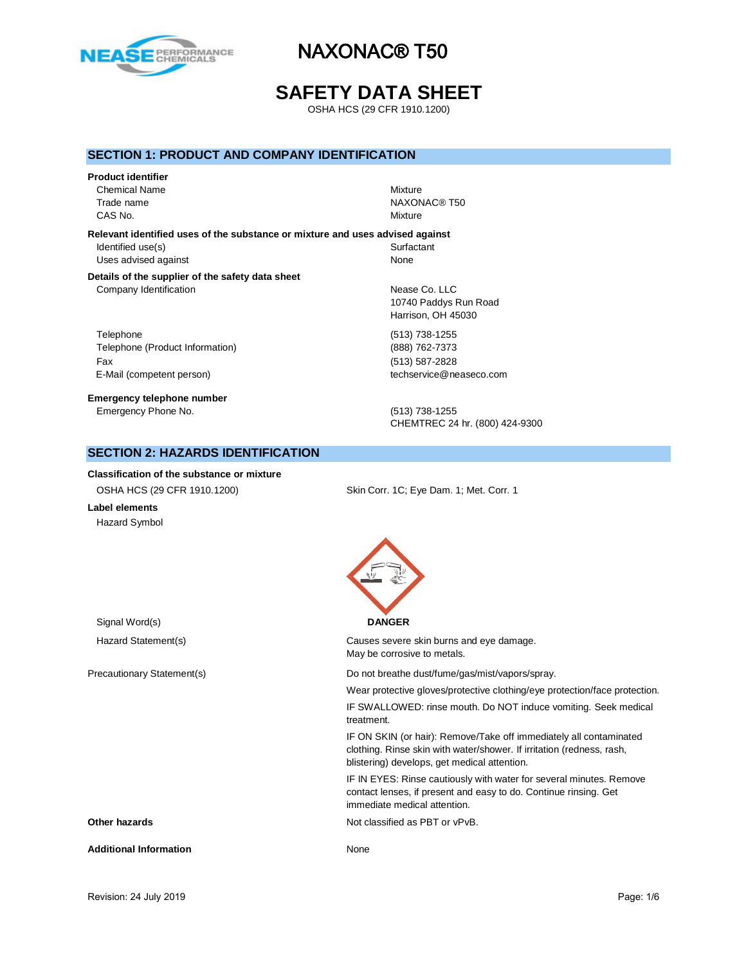

## **SAFETY DATA SHEET**

OSHA HCS (29 CFR 1910.1200)

### **SECTION 1: PRODUCT AND COMPANY IDENTIFICATION**

# **Product identifier** Chemical Name Mixture

Trade name NAXONAC® T50 CAS No. Notice that the contract of the contract of the contract of the contract of the contract of the contract of the contract of the contract of the contract of the contract of the contract of the contract of the contra

### **Relevant identified uses of the substance or mixture and uses advised against**

Identified use(s) Surfactant Uses advised against None

#### **Details of the supplier of the safety data sheet** Company Identification **Nease Co.** LLC

Telephone (513) 738-1255 Telephone (Product Information) (888) 762-7373 Fax (513) 587-2828 E-Mail (competent person) example a second techservice@neaseco.com

**Emergency telephone number** Emergency Phone No. (513) 738-1255

10740 Paddys Run Road Harrison, OH 45030

CHEMTREC 24 hr. (800) 424-9300

## **SECTION 2: HAZARDS IDENTIFICATION**

#### **Classification of the substance or mixture**

| OSHA HCS (29 CFR 1910.1200) | Skin Corr. 1C; Eye Dam. 1; Met. Corr. 1 |
|-----------------------------|-----------------------------------------|
| Label elements              |                                         |

Hazard Symbol

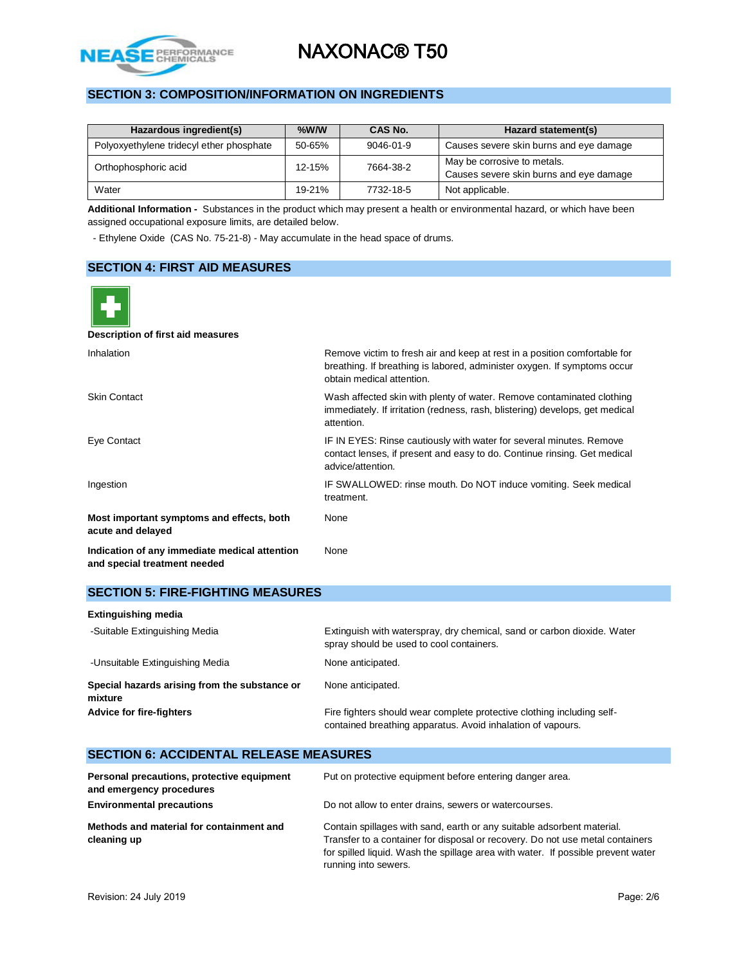

## **SECTION 3: COMPOSITION/INFORMATION ON INGREDIENTS**

| Hazardous ingredient(s)                  | $%$ W/W    | CAS No.   | Hazard statement(s)                                                    |  |
|------------------------------------------|------------|-----------|------------------------------------------------------------------------|--|
| Polyoxyethylene tridecyl ether phosphate | $50 - 65%$ | 9046-01-9 | Causes severe skin burns and eye damage                                |  |
| Orthophosphoric acid                     | 12-15%     | 7664-38-2 | May be corrosive to metals.<br>Causes severe skin burns and eye damage |  |
| Water                                    | 19-21%     | 7732-18-5 | Not applicable.                                                        |  |

**Additional Information -** Substances in the product which may present a health or environmental hazard, or which have been assigned occupational exposure limits, are detailed below.

- Ethylene Oxide (CAS No. 75-21-8) - May accumulate in the head space of drums.

## **SECTION 4: FIRST AID MEASURES**



| <b>Extinguishing media</b>                               |                                                                                                                                       |
|----------------------------------------------------------|---------------------------------------------------------------------------------------------------------------------------------------|
| -Suitable Extinguishing Media                            | Extinguish with waterspray, dry chemical, sand or carbon dioxide. Water<br>spray should be used to cool containers.                   |
| -Unsuitable Extinguishing Media                          | None anticipated.                                                                                                                     |
| Special hazards arising from the substance or<br>mixture | None anticipated.                                                                                                                     |
| <b>Advice for fire-fighters</b>                          | Fire fighters should wear complete protective clothing including self-<br>contained breathing apparatus. Avoid inhalation of vapours. |

### **SECTION 6: ACCIDENTAL RELEASE MEASURES**

| Personal precautions, protective equipment<br>and emergency procedures | Put on protective equipment before entering danger area.                                                                                                                                                                                                            |  |
|------------------------------------------------------------------------|---------------------------------------------------------------------------------------------------------------------------------------------------------------------------------------------------------------------------------------------------------------------|--|
| <b>Environmental precautions</b>                                       | Do not allow to enter drains, sewers or watercourses.                                                                                                                                                                                                               |  |
| Methods and material for containment and<br>cleaning up                | Contain spillages with sand, earth or any suitable adsorbent material.<br>Transfer to a container for disposal or recovery. Do not use metal containers<br>for spilled liquid. Wash the spillage area with water. If possible prevent water<br>running into sewers. |  |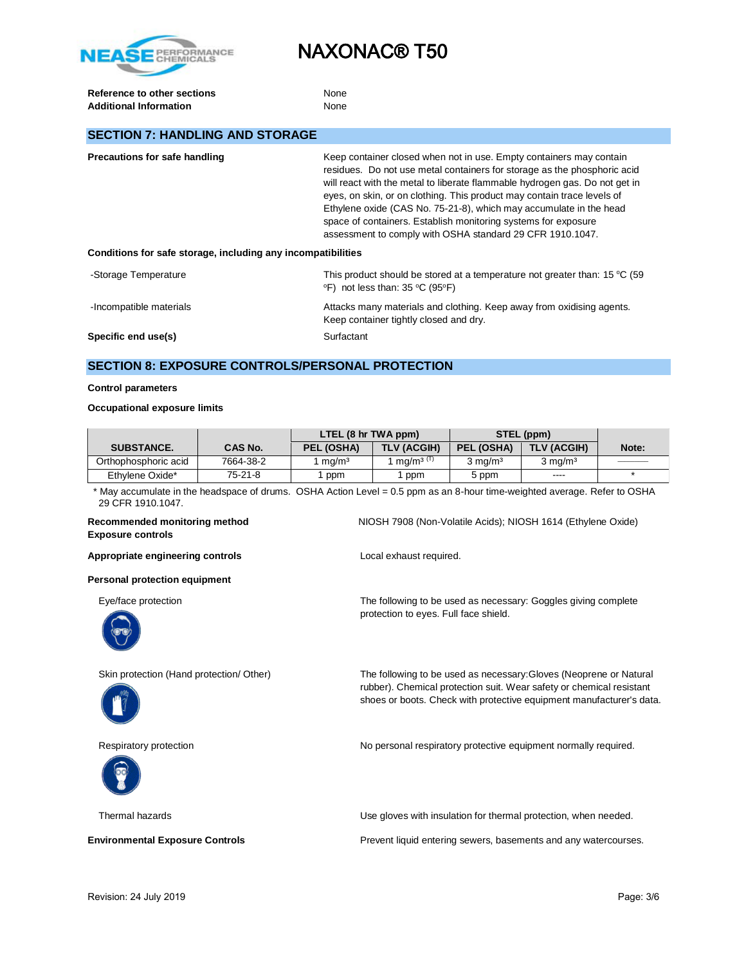

**Reference to other sections** None Additional Information **None** None

## **SECTION 7: HANDLING AND STORAGE**

| <b>Precautions for safe handling</b>                         | Keep container closed when not in use. Empty containers may contain<br>residues. Do not use metal containers for storage as the phosphoric acid<br>will react with the metal to liberate flammable hydrogen gas. Do not get in<br>eyes, on skin, or on clothing. This product may contain trace levels of<br>Ethylene oxide (CAS No. 75-21-8), which may accumulate in the head<br>space of containers. Establish monitoring systems for exposure<br>assessment to comply with OSHA standard 29 CFR 1910.1047. |  |
|--------------------------------------------------------------|----------------------------------------------------------------------------------------------------------------------------------------------------------------------------------------------------------------------------------------------------------------------------------------------------------------------------------------------------------------------------------------------------------------------------------------------------------------------------------------------------------------|--|
| Conditions for safe storage, including any incompatibilities |                                                                                                                                                                                                                                                                                                                                                                                                                                                                                                                |  |
| -Storage Temperature                                         | This product should be stored at a temperature not greater than: 15 °C (59)<br>°F) not less than: 35 °C (95°F)                                                                                                                                                                                                                                                                                                                                                                                                 |  |
| -Incompatible materials                                      | Attacks many materials and clothing. Keep away from oxidising agents.<br>Keep container tightly closed and dry.                                                                                                                                                                                                                                                                                                                                                                                                |  |
| Specific end use(s)                                          | Surfactant                                                                                                                                                                                                                                                                                                                                                                                                                                                                                                     |  |

### **SECTION 8: EXPOSURE CONTROLS/PERSONAL PROTECTION**

#### **Control parameters**

#### **Occupational exposure limits**

|                      |                | LTEL (8 hr TWA ppm) |                                   | STEL (ppm) |                    |       |
|----------------------|----------------|---------------------|-----------------------------------|------------|--------------------|-------|
| <b>SUBSTANCE.</b>    | <b>CAS No.</b> | PEL (OSHA)          | TLV (ACGIH)                       | PEL (OSHA) | TLV (ACGIH)        | Note: |
| Orthophosphoric acid | 7664-38-2      | ma/m <sup>3</sup>   | mg/m <sup>3<math>(T)</math></sup> | 3 mg/mª    | $3 \text{ mg/m}^3$ |       |
| Ethylene Oxide*      | 75-21-8        | ppm                 | ppm                               | 5 ppm      | $\frac{1}{2}$      |       |

\* May accumulate in the headspace of drums. OSHA Action Level = 0.5 ppm as an 8-hour time-weighted average. Refer to OSHA 29 CFR 1910.1047.

protection to eyes. Full face shield.

#### **Recommended monitoring method** NIOSH 7908 (Non-Volatile Acids); NIOSH 1614 (Ethylene Oxide) **Exposure controls**

Appropriate engineering controls **Appropriate engineering controls Local exhaust required.** 

**Personal protection equipment**

Eye/face protection The following to be used as necessary: Goggles giving complete







Skin protection (Hand protection/ Other) The following to be used as necessary:Gloves (Neoprene or Natural rubber). Chemical protection suit. Wear safety or chemical resistant shoes or boots. Check with protective equipment manufacturer's data.

Respiratory protection **No personal respiratory protective equipment normally required.** 



Thermal hazards Use gloves with insulation for thermal protection, when needed.

**Environmental Exposure Controls Exposure Controls Prevent liquid entering sewers, basements and any watercourses.**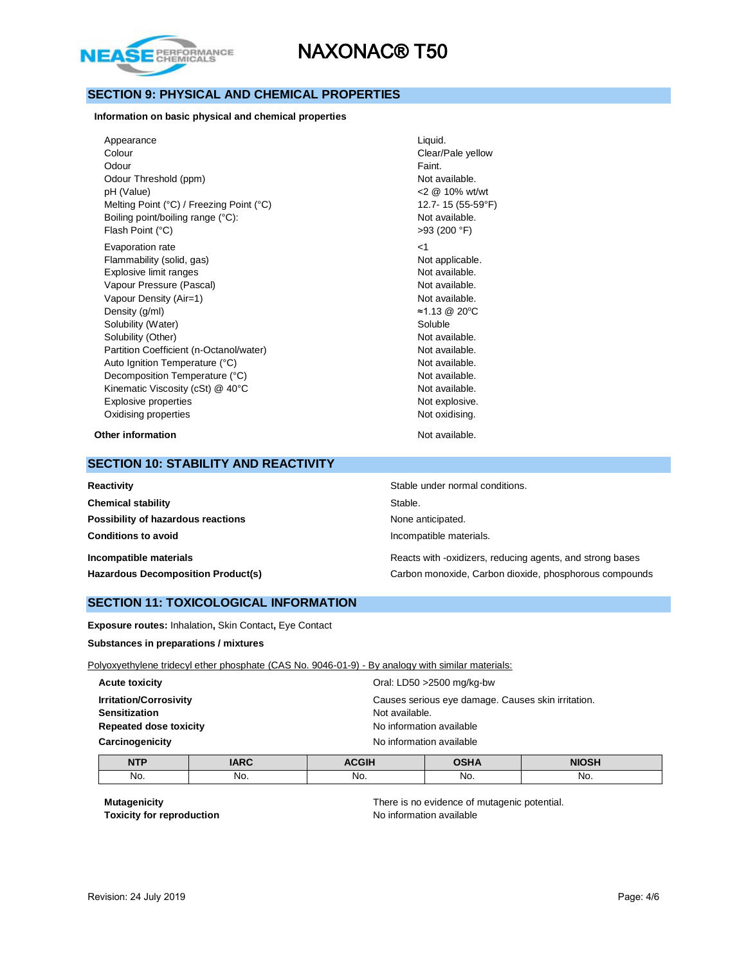

## **SECTION 9: PHYSICAL AND CHEMICAL PROPERTIES**

**Information on basic physical and chemical properties**

| Appearance                               | Liquid.     |
|------------------------------------------|-------------|
| Colour                                   | Clear/P     |
| Odour                                    | Faint.      |
| Odour Threshold (ppm)                    | Not ava     |
| pH (Value)                               | 2001        |
| Melting Point (°C) / Freezing Point (°C) | $12.7 - 15$ |
| Boiling point/boiling range (°C):        | Not ava     |
| Flash Point (°C)                         | >93(20)     |
| Evaporation rate                         | $<$ 1       |
| Flammability (solid, gas)                | Not app     |
| Explosive limit ranges                   | Not ava     |
| Vapour Pressure (Pascal)                 | Not ava     |
| Vapour Density (Air=1)                   | Not ava     |
| Density (g/ml)                           | $≈1.13$ ©   |
| Solubility (Water)                       | Soluble     |
| Solubility (Other)                       | Not ava     |
| Partition Coefficient (n-Octanol/water)  | Not ava     |
| Auto Ignition Temperature (°C)           | Not ava     |
| Decomposition Temperature (°C)           | Not ava     |
| Kinematic Viscosity (cSt) @ 40°C         | Not ava     |
| Explosive properties                     | Not exp     |
| Oxidising properties                     | Not oxi     |
|                                          |             |

Clear/Pale yellow Not available.  $<$  2  $@$  10% wt/wt 12.7- 15 (55-59°F) Not available. >93 (200 °F) Not applicable. Not available. Not available. Not available. Density (g/ml) ≈1.13 @ 20<sup>o</sup>C Not available. Not available. Not available. Not available. Not available. Not explosive. Not oxidising.

**Other information** Not available.

#### **SECTION 10: STABILITY AND REACTIVITY**

| Reactivity                                | Stable under normal conditions.                           |  |
|-------------------------------------------|-----------------------------------------------------------|--|
| <b>Chemical stability</b>                 | Stable.                                                   |  |
| Possibility of hazardous reactions        | None anticipated.                                         |  |
| <b>Conditions to avoid</b>                | Incompatible materials.                                   |  |
| Incompatible materials                    | Reacts with -oxidizers, reducing agents, and strong bases |  |
| <b>Hazardous Decomposition Product(s)</b> | Carbon monoxide, Carbon dioxide, phosphorous compounds    |  |

### **SECTION 11: TOXICOLOGICAL INFORMATION**

**Exposure routes:** Inhalation**,** Skin Contact**,** Eye Contact

**Substances in preparations / mixtures**

Polyoxyethylene tridecyl ether phosphate (CAS No. 9046-01-9) - By analogy with similar materials:

| <b>Acute toxicity</b>         | Oral: LD50 >2500 mg/kg-bw                          |
|-------------------------------|----------------------------------------------------|
| <b>Irritation/Corrosivity</b> | Causes serious eye damage. Causes skin irritation. |
| <b>Sensitization</b>          | Not available.                                     |
| <b>Repeated dose toxicity</b> | No information available                           |
| Carcinogenicity               | No information available                           |
|                               |                                                    |

| <b>NTP</b> | <b>ARC</b>    | <b>ACGIH</b> | 0.011A | <b>NIOSH</b> |
|------------|---------------|--------------|--------|--------------|
| No.        | No.<br>$\sim$ | No.          | No.    | No.          |

**Toxicity for reproduction No information available** 

**Mutagenicity** There is no evidence of mutagenic potential.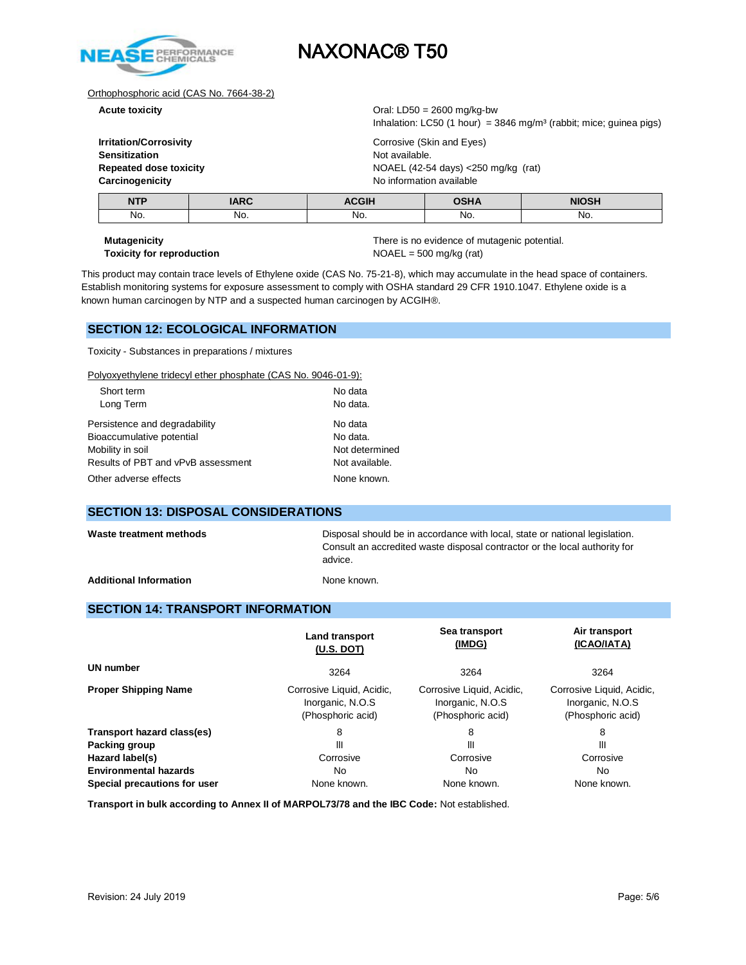

#### Orthophosphoric acid (CAS No. 7664-38-2)

| <b>Irritation/Corrosivity</b> |
|-------------------------------|
| <b>Sensitization</b>          |
| <b>Repeated dose toxicity</b> |
| Carcinogenicity               |

**Acute toxicity** Oral: LD50 = 2600 mg/kg-bw Inhalation: LC50 (1 hour) =  $3846$  mg/m<sup>3</sup> (rabbit; mice; guinea pigs)

> **Corrosive (Skin and Eyes) Not available. Repeated dose toxicity** NOAEL (42-54 days) <250 mg/kg (rat) **No information available**

| <b>NTP</b> | ADC | <b>ACGIH</b> | י ווה | <b>NIOSH</b> |
|------------|-----|--------------|-------|--------------|
| No.        | No. | No.          | No.   | No.          |

# **Toxicity for reproduction** NOAEL = 500 mg/kg (rat)

**Mutagenicity There is no evidence of mutagenic potential.** 

This product may contain trace levels of Ethylene oxide (CAS No. 75-21-8), which may accumulate in the head space of containers. Establish monitoring systems for exposure assessment to comply with OSHA standard 29 CFR 1910.1047. Ethylene oxide is a known human carcinogen by NTP and a suspected human carcinogen by ACGIH®.

### **SECTION 12: ECOLOGICAL INFORMATION**

Toxicity - Substances in preparations / mixtures

Polyoxyethylene tridecyl ether phosphate (CAS No. 9046-01-9):

| Short term                         | No data        |  |
|------------------------------------|----------------|--|
| Long Term                          | No data.       |  |
| Persistence and degradability      | No data        |  |
| Bioaccumulative potential          | No data.       |  |
| Mobility in soil                   | Not determined |  |
| Results of PBT and vPvB assessment | Not available. |  |
| Other adverse effects              | None known.    |  |
|                                    |                |  |

#### **SECTION 13: DISPOSAL CONSIDERATIONS**

Waste treatment methods **Disposal should be in accordance with local**, state or national legislation. Consult an accredited waste disposal contractor or the local authority for advice.

Additional Information **None known** None known.

#### **SECTION 14: TRANSPORT INFORMATION**

|                              | Land transport<br>(U.S. DOT)                                       | Sea transport<br>(IMDG)                                            | Air transport<br>(ICAO/IATA)                                       |  |
|------------------------------|--------------------------------------------------------------------|--------------------------------------------------------------------|--------------------------------------------------------------------|--|
| UN number                    | 3264                                                               | 3264                                                               | 3264                                                               |  |
| <b>Proper Shipping Name</b>  | Corrosive Liquid, Acidic,<br>Inorganic, N.O.S<br>(Phosphoric acid) | Corrosive Liquid, Acidic,<br>Inorganic, N.O.S<br>(Phosphoric acid) | Corrosive Liquid, Acidic,<br>Inorganic, N.O.S<br>(Phosphoric acid) |  |
| Transport hazard class(es)   | 8                                                                  | 8                                                                  | 8                                                                  |  |
| Packing group                | Ш                                                                  | Ш                                                                  | Ш                                                                  |  |
| Hazard label(s)              | Corrosive                                                          | Corrosive                                                          | Corrosive                                                          |  |
| <b>Environmental hazards</b> | No                                                                 | No.                                                                | No.                                                                |  |
| Special precautions for user | None known.                                                        | None known.                                                        | None known.                                                        |  |

**Transport in bulk according to Annex II of MARPOL73/78 and the IBC Code:** Not established.